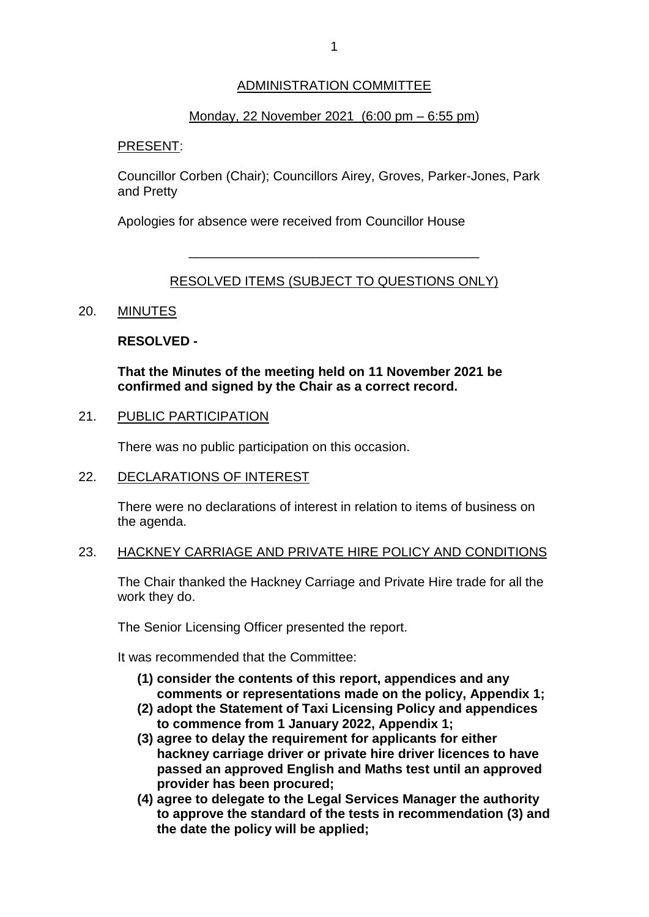# ADMINISTRATION COMMITTEE

## Monday, 22 November 2021 (6:00 pm – 6:55 pm)

### PRESENT:

Councillor Corben (Chair); Councillors Airey, Groves, Parker-Jones, Park and Pretty

Apologies for absence were received from Councillor House

# RESOLVED ITEMS (SUBJECT TO QUESTIONS ONLY)

\_\_\_\_\_\_\_\_\_\_\_\_\_\_\_\_\_\_\_\_\_\_\_\_\_\_\_\_\_\_\_\_\_\_\_\_\_\_\_\_

## 20. MINUTES

### **RESOLVED -**

**That the Minutes of the meeting held on 11 November 2021 be confirmed and signed by the Chair as a correct record.**

#### 21. PUBLIC PARTICIPATION

There was no public participation on this occasion.

#### 22. DECLARATIONS OF INTEREST

There were no declarations of interest in relation to items of business on the agenda.

#### 23. HACKNEY CARRIAGE AND PRIVATE HIRE POLICY AND CONDITIONS

The Chair thanked the Hackney Carriage and Private Hire trade for all the work they do.

The Senior Licensing Officer presented the report.

It was recommended that the Committee:

- **(1) consider the contents of this report, appendices and any comments or representations made on the policy, Appendix 1;**
- **(2) adopt the Statement of Taxi Licensing Policy and appendices to commence from 1 January 2022, Appendix 1;**
- **(3) agree to delay the requirement for applicants for either hackney carriage driver or private hire driver licences to have passed an approved English and Maths test until an approved provider has been procured;**
- **(4) agree to delegate to the Legal Services Manager the authority to approve the standard of the tests in recommendation (3) and the date the policy will be applied;**